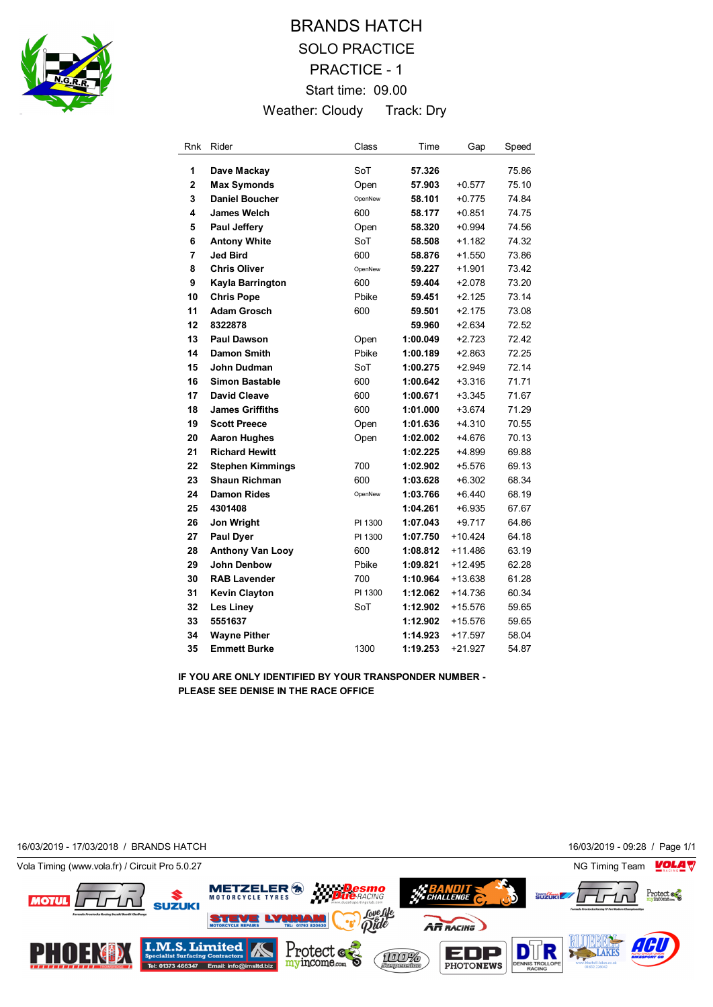

## BRANDS HATCH SOLO PRACTICE PRACTICE - 1 Start time: 09.00 Weather: Cloudy Track: Dry

| Rnk         | Rider                   | Class   | Time     | Gap       | Speed |
|-------------|-------------------------|---------|----------|-----------|-------|
| 1           | Dave Mackay             | SoT     | 57.326   |           | 75.86 |
| $\mathbf 2$ | <b>Max Symonds</b>      | Open    | 57.903   | $+0.577$  | 75.10 |
| 3           | <b>Daniel Boucher</b>   | OpenNew | 58.101   | $+0.775$  | 74.84 |
| 4           | <b>James Welch</b>      | 600     | 58.177   | $+0.851$  | 74.75 |
| 5           | <b>Paul Jeffery</b>     | Open    | 58.320   | $+0.994$  | 74.56 |
| 6           | <b>Antony White</b>     | SoT     | 58.508   | $+1.182$  | 74.32 |
| 7           | <b>Jed Bird</b>         | 600     | 58.876   | $+1.550$  | 73.86 |
| 8           | <b>Chris Oliver</b>     | OpenNew | 59.227   | $+1.901$  | 73.42 |
| 9           | Kayla Barrington        | 600     | 59.404   | $+2.078$  | 73.20 |
| 10          | <b>Chris Pope</b>       | Pbike   | 59.451   | $+2.125$  | 73.14 |
| 11          | <b>Adam Grosch</b>      | 600     | 59.501   | $+2.175$  | 73.08 |
| 12          | 8322878                 |         | 59.960   | $+2.634$  | 72.52 |
| 13          | <b>Paul Dawson</b>      | Open    | 1:00.049 | $+2.723$  | 72.42 |
| 14          | Damon Smith             | Pbike   | 1:00.189 | +2.863    | 72.25 |
| 15          | John Dudman             | SoT     | 1:00.275 | $+2.949$  | 72.14 |
| 16          | <b>Simon Bastable</b>   | 600     | 1:00.642 | $+3.316$  | 71.71 |
| 17          | <b>David Cleave</b>     | 600     | 1:00.671 | $+3.345$  | 71.67 |
| 18          | <b>James Griffiths</b>  | 600     | 1:01.000 | $+3.674$  | 71.29 |
| 19          | <b>Scott Preece</b>     | Open    | 1:01.636 | +4.310    | 70.55 |
| 20          | <b>Aaron Hughes</b>     | Open    | 1:02.002 | +4.676    | 70.13 |
| 21          | <b>Richard Hewitt</b>   |         | 1:02.225 | +4.899    | 69.88 |
| 22          | <b>Stephen Kimmings</b> | 700     | 1:02.902 | $+5.576$  | 69.13 |
| 23          | <b>Shaun Richman</b>    | 600     | 1:03.628 | $+6.302$  | 68.34 |
| 24          | <b>Damon Rides</b>      | OpenNew | 1:03.766 | $+6.440$  | 68.19 |
| 25          | 4301408                 |         | 1:04.261 | $+6.935$  | 67.67 |
| 26          | Jon Wright              | PI 1300 | 1:07.043 | $+9.717$  | 64.86 |
| 27          | <b>Paul Dyer</b>        | PI 1300 | 1:07.750 | $+10.424$ | 64.18 |
| 28          | <b>Anthony Van Looy</b> | 600     | 1:08.812 | $+11.486$ | 63.19 |
| 29          | <b>John Denbow</b>      | Pbike   | 1:09.821 | $+12.495$ | 62.28 |
| 30          | <b>RAB Lavender</b>     | 700     | 1:10.964 | +13.638   | 61.28 |
| 31          | <b>Kevin Clayton</b>    | PI 1300 | 1:12.062 | +14.736   | 60.34 |
| 32          | Les Liney               | SoT     | 1:12.902 | +15.576   | 59.65 |
| 33          | 5551637                 |         | 1:12.902 | $+15.576$ | 59.65 |
| 34          | <b>Wayne Pither</b>     |         | 1:14.923 | +17.597   | 58.04 |
| 35          | <b>Emmett Burke</b>     | 1300    | 1:19.253 | +21.927   | 54.87 |

**IF YOU ARE ONLY IDENTIFIED BY YOUR TRANSPONDER NUMBER - PLEASE SEE DENISE IN THE RACE OFFICE**

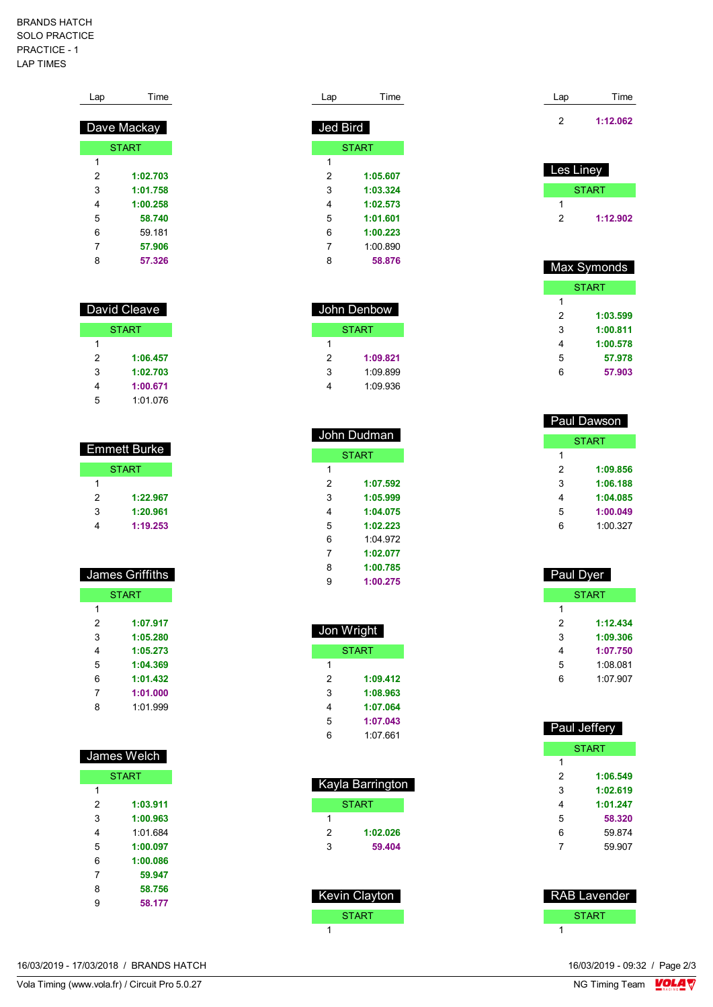BRANDS HATCH SOLO PRACTICE PRACTICE - 1 LAP TIMES

| Lap          | Time        |  |
|--------------|-------------|--|
|              |             |  |
|              | Dave Mackay |  |
| <b>START</b> |             |  |
| 1            |             |  |
| 2            | 1:02.703    |  |
| 3            | 1:01.758    |  |
| 4            | 1:00.258    |  |
| 5            | 58.740      |  |
| 6            | 59 181      |  |
| 7            | 57.906      |  |
| 8            | 57.326      |  |

| David Cleave |          |  |
|--------------|----------|--|
| <b>START</b> |          |  |
| 1            |          |  |
| 2            | 1:06.457 |  |
| 3            | 1:02,703 |  |
| 4            | 1:00.671 |  |
| 5            | 1:01.076 |  |

| <b>Emmett Burke</b> |          |  |
|---------------------|----------|--|
| <b>START</b>        |          |  |
|                     |          |  |
| 2                   | 1:22.967 |  |
| 3                   | 1:20.961 |  |
|                     | 1:19.253 |  |

| <b>James Griffiths</b> |          |  |
|------------------------|----------|--|
| <b>START</b>           |          |  |
| 1                      |          |  |
| 2                      | 1:07.917 |  |
| 3                      | 1:05.280 |  |
| 4                      | 1:05.273 |  |
| 5                      | 1:04.369 |  |
| 6                      | 1:01.432 |  |
| ⇁                      |          |  |

|   | 1:01.000 |
|---|----------|
| 8 | 1:01.999 |
|   |          |
|   |          |

| James Welch  |  |  |
|--------------|--|--|
| <b>START</b> |  |  |
|              |  |  |
| 1:03.911     |  |  |
| 1:00.963     |  |  |
| 1:01 684     |  |  |
| 1:00.097     |  |  |
| 1:00.086     |  |  |
| 59.947       |  |  |
| 58.756       |  |  |
| 58.177       |  |  |
|              |  |  |

| Lap      | Time         |  |
|----------|--------------|--|
| Jed Bird |              |  |
|          | <b>START</b> |  |
| 1        |              |  |
| 2        | 1:05.607     |  |
| 3        | 1:03.324     |  |
| 4        | 1:02.573     |  |
| 5        | 1:01.601     |  |
| 6        | 1:00.223     |  |
| 7        | 1:00.890     |  |
| ጸ        | 58.876       |  |

| John Denbow |  |  |
|-------------|--|--|
| START       |  |  |
|             |  |  |
| 1:09.821    |  |  |
| 1.09899     |  |  |
| 1:09 936    |  |  |
|             |  |  |

| John Dudman |              |  |  |
|-------------|--------------|--|--|
|             | <b>START</b> |  |  |
| 1           |              |  |  |
| 2           | 1:07.592     |  |  |
| 3           | 1:05.999     |  |  |
| 4           | 1:04.075     |  |  |
| 5           | 1:02.223     |  |  |
| 6           | 1.04.972     |  |  |
| 7           | 1:02.077     |  |  |
| ጸ           | 1:00.785     |  |  |
| 9           | 1:00.275     |  |  |

| Jon Wright   |          |  |
|--------------|----------|--|
| <b>START</b> |          |  |
| 1            |          |  |
| 2            | 1:09.412 |  |
| 3            | 1:08.963 |  |
| 4            | 1:07.064 |  |
| 5            | 1:07.043 |  |
| հ            | 1.07661  |  |
|              |          |  |

| Kayla Barrington |          |  |
|------------------|----------|--|
| <b>START</b>     |          |  |
|                  |          |  |
| 2                | 1:02.026 |  |
| 3                | 59.404   |  |
|                  |          |  |

| <b>Kevin Clayton</b> |
|----------------------|
| <b>START</b>         |
|                      |

| Lap | Time     |
|-----|----------|
| 2   | 1:12.062 |

| Les Liney |              |
|-----------|--------------|
|           | <b>START</b> |
|           |              |
| 2         | 1:12.902     |

| Max Symonds |          |
|-------------|----------|
| START       |          |
| 1           |          |
| 2           | 1:03.599 |
| 3           | 1:00.811 |
| 4           | 1:00.578 |
| 5           | 57.978   |
| հ           | 57.903   |

| <b>Paul Dawson</b> |          |
|--------------------|----------|
| START              |          |
| 1                  |          |
| 2                  | 1:09.856 |
| 3                  | 1:06.188 |
| 4                  | 1:04.085 |
| 5                  | 1:00.049 |
| հ                  | 1:00.327 |
|                    |          |

| Paul Dyer    |          |
|--------------|----------|
| <b>START</b> |          |
| 1            |          |
| 2            | 1:12,434 |
| 3            | 1:09.306 |
| 4            | 1:07.750 |
| 5            | 1:08.081 |
| հ            | 1:07.907 |
|              |          |

| Paul Jeffery |          |
|--------------|----------|
| <b>START</b> |          |
| 1            |          |
| 2            | 1:06.549 |
| 3            | 1:02.619 |
| 4            | 1:01.247 |
| 5            | 58.320   |
| 6            | 59 874   |
| 7            | 59 907   |
|              |          |

 RAB Lavender **START** 

16/03/2019 - 17/03/2018 / BRANDS HATCH

Vola Timing (www.vola.fr) / Circuit Pro 5.0.27